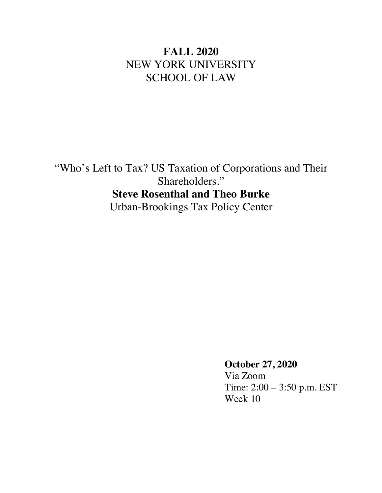# **FALL 2020** NEW YORK UNIVERSITY SCHOOL OF LAW

"Who's Left to Tax? US Taxation of Corporations and Their Shareholders." **Steve Rosenthal and Theo Burke** Urban-Brookings Tax Policy Center

> **October 27, 2020** Via Zoom Time: 2:00 – 3:50 p.m. EST Week 10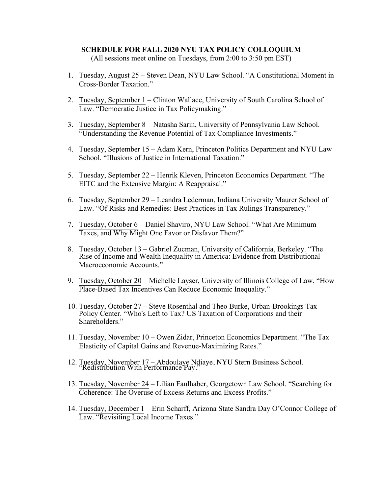# **SCHEDULE FOR FALL 2020 NYU TAX POLICY COLLOQUIUM**

(All sessions meet online on Tuesdays, from 2:00 to 3:50 pm EST)

- 1. Tuesday, August 25 Steven Dean, NYU Law School. "A Constitutional Moment in Cross-Border Taxation."
- 2. Tuesday, September 1 Clinton Wallace, University of South Carolina School of Law. "Democratic Justice in Tax Policymaking."
- 3. Tuesday, September 8 Natasha Sarin, University of Pennsylvania Law School. "Understanding the Revenue Potential of Tax Compliance Investments."
- 4. Tuesday, September 15 Adam Kern, Princeton Politics Department and NYU Law School. "Illusions of Justice in International Taxation."
- 5. Tuesday, September 22 Henrik Kleven, Princeton Economics Department. "The EITC and the Extensive Margin: A Reappraisal."
- 6. Tuesday, September 29 Leandra Lederman, Indiana University Maurer School of Law. "Of Risks and Remedies: Best Practices in Tax Rulings Transparency."
- 7. Tuesday, October 6 Daniel Shaviro, NYU Law School. "What Are Minimum Taxes, and Why Might One Favor or Disfavor Them?"
- 8. Tuesday, October 13 Gabriel Zucman, University of California, Berkeley. "The Rise of Income and Wealth Inequality in America: Evidence from Distributional Macroeconomic Accounts"
- 9. Tuesday, October 20 Michelle Layser, University of Illinois College of Law. "How Place-Based Tax Incentives Can Reduce Economic Inequality."
- 10. Tuesday, October 27 Steve Rosenthal and Theo Burke, Urban-Brookings Tax Policy Center. "Who's Left to Tax? US Taxation of Corporations and their Shareholders."
- 11. Tuesday, November 10 Owen Zidar, Princeton Economics Department. "The Tax Elasticity of Capital Gains and Revenue-Maximizing Rates."
- 12. Tuesday, November 17 Abdoulaye Ndiaye, NYU Stern Business School. Redistribution With Performance Pay."
- 13. Tuesday, November 24 Lilian Faulhaber, Georgetown Law School. "Searching for Coherence: The Overuse of Excess Returns and Excess Profits."
- 14. Tuesday, December 1 Erin Scharff, Arizona State Sandra Day O'Connor College of Law. "Revisiting Local Income Taxes."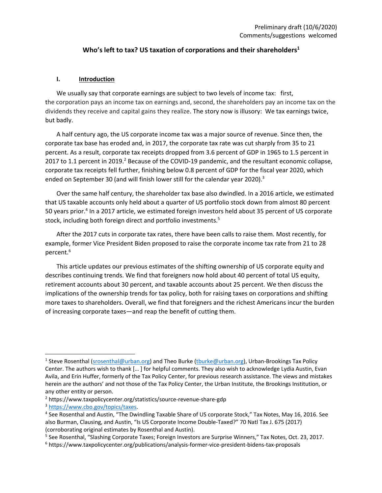## **Who's left to tax? US taxation of corporations and their shareholders<sup>1</sup>**

#### **I. Introduction**

We usually say that corporate earnings are subject to two levels of income tax: first, the corporation pays an income tax on earnings and, second, the shareholders pay an income tax on the dividends they receive and capital gains they realize. The story now is illusory: We tax earnings twice, but badly.

A half century ago, the US corporate income tax was a major source of revenue. Since then, the corporate tax base has eroded and, in 2017, the corporate tax rate was cut sharply from 35 to 21 percent. As a result, corporate tax receipts dropped from 3.6 percent of GDP in 1965 to 1.5 percent in 2017 to 1.1 percent in 2019.<sup>2</sup> Because of the COVID-19 pandemic, and the resultant economic collapse, corporate tax receipts fell further, finishing below 0.8 percent of GDP for the fiscal year 2020, which ended on September 30 (and will finish lower still for the calendar year 2020).<sup>3</sup>

Over the same half century, the shareholder tax base also dwindled. In a 2016 article, we estimated that US taxable accounts only held about a quarter of US portfolio stock down from almost 80 percent 50 years prior.<sup>4</sup> In a 2017 article, we estimated foreign investors held about 35 percent of US corporate stock, including both foreign direct and portfolio investments.<sup>5</sup>

After the 2017 cuts in corporate tax rates, there have been calls to raise them. Most recently, for example, former Vice President Biden proposed to raise the corporate income tax rate from 21 to 28 percent. 6

This article updates our previous estimates of the shifting ownership of US corporate equity and describes continuing trends. We find that foreigners now hold about 40 percent of total US equity, retirement accounts about 30 percent, and taxable accounts about 25 percent. We then discuss the implications of the ownership trends for tax policy, both for raising taxes on corporations and shifting more taxes to shareholders. Overall, we find that foreigners and the richest Americans incur the burden of increasing corporate taxes—and reap the benefit of cutting them.

<sup>&</sup>lt;sup>1</sup> Steve Rosenthal (srosenthal@urban.org) and Theo Burke (tburke@urban.org), Urban-Brookings Tax Policy Center. The authors wish to thank [… ] for helpful comments. They also wish to acknowledge Lydia Austin, Evan Avila, and Erin Huffer, formerly of the Tax Policy Center, for previous research assistance. The views and mistakes herein are the authors' and not those of the Tax Policy Center, the Urban Institute, the Brookings Institution, or any other entity or person.

<sup>&</sup>lt;sup>2</sup> https://www.taxpolicycenter.org/statistics/source-revenue-share-gdp

<sup>3</sup> https://www.cbo.gov/topics/taxes.

<sup>4</sup> See Rosenthal and Austin, "The Dwindling Taxable Share of US corporate Stock," Tax Notes, May 16, 2016. See also Burman, Clausing, and Austin, "Is US Corporate Income Double-Taxed?" 70 Natl Tax J. 675 (2017) (corroborating original estimates by Rosenthal and Austin).

<sup>5</sup> See Rosenthal, "Slashing Corporate Taxes; Foreign Investors are Surprise Winners," Tax Notes, Oct. 23, 2017.

<sup>6</sup> https://www.taxpolicycenter.org/publications/analysis-former-vice-president-bidens-tax-proposals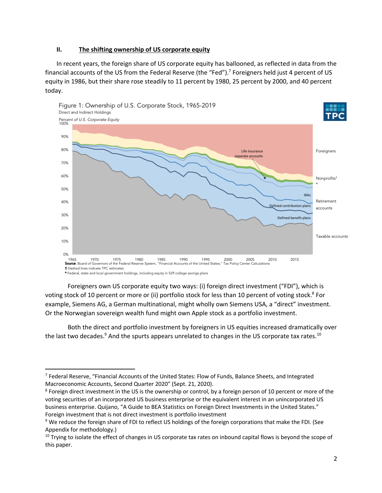## **II. The shifting ownership of US corporate equity**

In recent years, the foreign share of US corporate equity has ballooned, as reflected in data from the financial accounts of the US from the Federal Reserve (the "Fed").<sup>7</sup> Foreigners held just 4 percent of US equity in 1986, but their share rose steadily to 11 percent by 1980, 25 percent by 2000, and 40 percent today.



Foreigners own US corporate equity two ways: (i) foreign direct investment ("FDI"), which is voting stock of 10 percent or more or (ii) portfolio stock for less than 10 percent of voting stock. <sup>8</sup> For example, Siemens AG, a German multinational, might wholly own Siemens USA, a "direct" investment. Or the Norwegian sovereign wealth fund might own Apple stock as a portfolio investment.

Both the direct and portfolio investment by foreigners in US equities increased dramatically over the last two decades. $9$  And the spurts appears unrelated to changes in the US corporate tax rates.<sup>10</sup>

<sup>&</sup>lt;sup>7</sup> Federal Reserve, "Financial Accounts of the United States: Flow of Funds, Balance Sheets, and Integrated Macroeconomic Accounts, Second Quarter 2020" (Sept. 21, 2020).

<sup>&</sup>lt;sup>8</sup> Foreign direct investment in the US is the ownership or control, by a foreign person of 10 percent or more of the voting securities of an incorporated US business enterprise or the equivalent interest in an unincorporated US business enterprise. Quijano, "A Guide to BEA Statistics on Foreign Direct Investments in the United States." Foreign investment that is not direct investment is portfolio investment

<sup>&</sup>lt;sup>9</sup> We reduce the foreign share of FDI to reflect US holdings of the foreign corporations that make the FDI. (See Appendix for methodology.)

 $10$  Trying to isolate the effect of changes in US corporate tax rates on inbound capital flows is beyond the scope of this paper.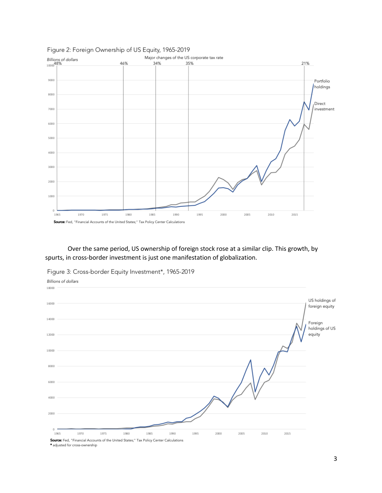

#### Figure 2: Foreign Ownership of US Equity, 1965-2019

Over the same period, US ownership of foreign stock rose at a similar clip. This growth, by spurts, in cross-border investment is just one manifestation of globalization.

Figure 3: Cross-border Equity Investment\*, 1965-2019



<sup>\*</sup> adjusted for cross-ownership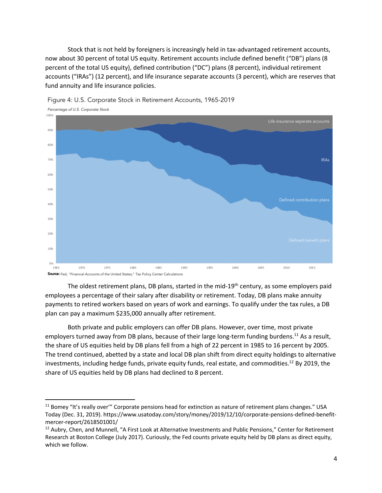Stock that is not held by foreigners is increasingly held in tax-advantaged retirement accounts, now about 30 percent of total US equity. Retirement accounts include defined benefit ("DB") plans (8 percent of the total US equity), defined contribution ("DC") plans (8 percent), individual retirement accounts ("IRAs") (12 percent), and life insurance separate accounts (3 percent), which are reserves that fund annuity and life insurance policies.



Figure 4: U.S. Corporate Stock in Retirement Accounts, 1965-2019

The oldest retirement plans, DB plans, started in the mid-19<sup>th</sup> century, as some employers paid employees a percentage of their salary after disability or retirement. Today, DB plans make annuity payments to retired workers based on years of work and earnings. To qualify under the tax rules, a DB plan can pay a maximum \$235,000 annually after retirement.

Both private and public employers can offer DB plans. However, over time, most private employers turned away from DB plans, because of their large long-term funding burdens.<sup>11</sup> As a result, the share of US equities held by DB plans fell from a high of 22 percent in 1985 to 16 percent by 2005. The trend continued, abetted by a state and local DB plan shift from direct equity holdings to alternative investments, including hedge funds, private equity funds, real estate, and commodities. <sup>12</sup> By 2019, the share of US equities held by DB plans had declined to 8 percent.

<sup>&</sup>lt;sup>11</sup> Bomey "It's really over'" Corporate pensions head for extinction as nature of retirement plans changes." USA Today (Dec. 31, 2019). https://www.usatoday.com/story/money/2019/12/10/corporate-pensions-defined-benefitmercer-report/2618501001/

<sup>&</sup>lt;sup>12</sup> Aubry, Chen, and Munnell, "A First Look at Alternative Investments and Public Pensions," Center for Retirement Research at Boston College (July 2017). Curiously, the Fed counts private equity held by DB plans as direct equity, which we follow.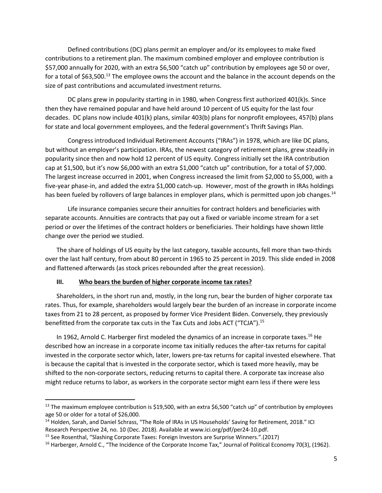Defined contributions (DC) plans permit an employer and/or its employees to make fixed contributions to a retirement plan. The maximum combined employer and employee contribution is \$57,000 annually for 2020, with an extra \$6,500 "catch up" contribution by employees age 50 or over, for a total of \$63,500.<sup>13</sup> The employee owns the account and the balance in the account depends on the size of past contributions and accumulated investment returns.

DC plans grew in popularity starting in in 1980, when Congress first authorized 401(k)s. Since then they have remained popular and have held around 10 percent of US equity for the last four decades. DC plans now include 401(k) plans, similar 403(b) plans for nonprofit employees, 457(b) plans for state and local government employees, and the federal government's Thrift Savings Plan.

Congress introduced Individual Retirement Accounts ("IRAs") in 1978, which are like DC plans, but without an employer's participation. IRAs, the newest category of retirement plans, grew steadily in popularity since then and now hold 12 percent of US equity. Congress initially set the IRA contribution cap at \$1,500, but it's now \$6,000 with an extra \$1,000 "catch up" contribution, for a total of \$7,000. The largest increase occurred in 2001, when Congress increased the limit from \$2,000 to \$5,000, with a five-year phase-in, and added the extra \$1,000 catch-up. However, most of the growth in IRAs holdings has been fueled by rollovers of large balances in employer plans, which is permitted upon job changes.<sup>14</sup>

Life insurance companies secure their annuities for contract holders and beneficiaries with separate accounts. Annuities are contracts that pay out a fixed or variable income stream for a set period or over the lifetimes of the contract holders or beneficiaries. Their holdings have shown little change over the period we studied.

The share of holdings of US equity by the last category, taxable accounts, fell more than two-thirds over the last half century, from about 80 percent in 1965 to 25 percent in 2019. This slide ended in 2008 and flattened afterwards (as stock prices rebounded after the great recession).

#### **III. Who bears the burden of higher corporate income tax rates?**

Shareholders, in the short run and, mostly, in the long run, bear the burden of higher corporate tax rates. Thus, for example, shareholders would largely bear the burden of an increase in corporate income taxes from 21 to 28 percent, as proposed by former Vice President Biden. Conversely, they previously benefitted from the corporate tax cuts in the Tax Cuts and Jobs ACT ("TCJA").15

In 1962, Arnold C. Harberger first modeled the dynamics of an increase in corporate taxes.<sup>16</sup> He described how an increase in a corporate income tax initially reduces the after-tax returns for capital invested in the corporate sector which, later, lowers pre-tax returns for capital invested elsewhere. That is because the capital that is invested in the corporate sector, which is taxed more heavily, may be shifted to the non-corporate sectors, reducing returns to capital there. A corporate tax increase also might reduce returns to labor, as workers in the corporate sector might earn less if there were less

<sup>&</sup>lt;sup>13</sup> The maximum employee contribution is \$19,500, with an extra \$6,500 "catch up" of contribution by employees age 50 or older for a total of \$26,000.<br><sup>14</sup> Holden, Sarah, and Daniel Schrass, "The Role of IRAs in US Households' Saving for Retirement, 2018." ICI

Research Perspective 24, no. 10 (Dec. 2018). Available at www.ici.org/pdf/per24-10.pdf.

<sup>15</sup> See Rosenthal, "Slashing Corporate Taxes: Foreign Investors are Surprise Winners.".(2017)

<sup>&</sup>lt;sup>16</sup> Harberger, Arnold C., "The Incidence of the Corporate Income Tax," Journal of Political Economy 70(3), (1962).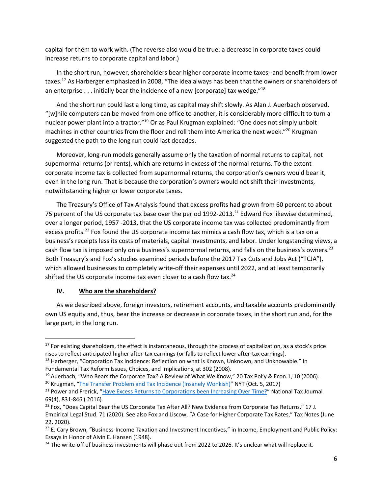capital for them to work with. (The reverse also would be true: a decrease in corporate taxes could increase returns to corporate capital and labor.)

In the short run, however, shareholders bear higher corporate income taxes--and benefit from lower taxes.17 As Harberger emphasized in 2008, "The idea always has been that the owners or shareholders of an enterprise  $\dots$  initially bear the incidence of a new [corporate] tax wedge."18

And the short run could last a long time, as capital may shift slowly. As Alan J. Auerbach observed, "[w]hile computers can be moved from one office to another, it is considerably more difficult to turn a nuclear power plant into a tractor."<sup>19</sup> Or as Paul Krugman explained: "One does not simply unbolt machines in other countries from the floor and roll them into America the next week."<sup>20</sup> Krugman suggested the path to the long run could last decades.

Moreover, long-run models generally assume only the taxation of normal returns to capital, not supernormal returns (or rents), which are returns in excess of the normal returns. To the extent corporate income tax is collected from supernormal returns, the corporation's owners would bear it, even in the long run. That is because the corporation's owners would not shift their investments, notwithstanding higher or lower corporate taxes.

The Treasury's Office of Tax Analysis found that excess profits had grown from 60 percent to about 75 percent of the US corporate tax base over the period 1992-2013.<sup>21</sup> Edward Fox likewise determined, over a longer period, 1957 -2013, that the US corporate income tax was collected predominantly from excess profits.<sup>22</sup> Fox found the US corporate income tax mimics a cash flow tax, which is a tax on a business's receipts less its costs of materials, capital investments, and labor. Under longstanding views, a cash flow tax is imposed only on a business's supernormal returns, and falls on the business's owners.<sup>23</sup> Both Treasury's and Fox's studies examined periods before the 2017 Tax Cuts and Jobs Act ("TCJA"), which allowed businesses to completely write-off their expenses until 2022, and at least temporarily shifted the US corporate income tax even closer to a cash flow tax.<sup>24</sup>

#### **IV. Who are the shareholders?**

As we described above, foreign investors, retirement accounts, and taxable accounts predominantly own US equity and, thus, bear the increase or decrease in corporate taxes, in the short run and, for the large part, in the long run.

<sup>&</sup>lt;sup>17</sup> For existing shareholders, the effect is instantaneous, through the process of capitalization, as a stock's price rises to reflect anticipated higher after-tax earnings (or falls to reflect lower after-tax earnings).

<sup>&</sup>lt;sup>18</sup> Harberger, "Corporation Tax Incidence: Reflection on what is Known, Unknown, and Unknowable." In Fundamental Tax Reform Issues, Choices, and Implications, at 302 (2008).

<sup>&</sup>lt;sup>19</sup> Auerbach, "Who Bears the Corporate Tax? A Review of What We Know," 20 Tax Pol'y & Econ.1, 10 (2006). <sup>20</sup> Krugman, "The Transfer Problem and Tax Incidence (Insanely Wonkish)" NYT (Oct. 5, 2017)

<sup>&</sup>lt;sup>21</sup> Power and Frerick, "Have Excess Returns to Corporations been Increasing Over Time?" National Tax Journal 69(4), 831-846 ( 2016).

<sup>&</sup>lt;sup>22</sup> Fox, "Does Capital Bear the US Corporate Tax After All? New Evidence from Corporate Tax Returns." 17 J. Empirical Legal Stud. 71 (2020). See also Fox and Liscow, "A Case for Higher Corporate Tax Rates," Tax Notes (June 22, 2020).

<sup>&</sup>lt;sup>23</sup> E. Cary Brown, "Business-Income Taxation and Investment Incentives," in Income, Employment and Public Policy: Essays in Honor of Alvin E. Hansen (1948).

<sup>&</sup>lt;sup>24</sup> The write-off of business investments will phase out from 2022 to 2026. It's unclear what will replace it.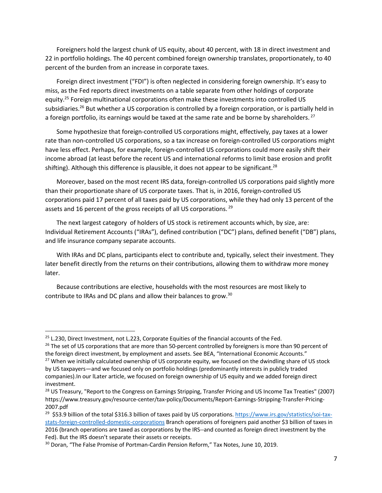Foreigners hold the largest chunk of US equity, about 40 percent, with 18 in direct investment and 22 in portfolio holdings. The 40 percent combined foreign ownership translates, proportionately, to 40 percent of the burden from an increase in corporate taxes.

Foreign direct investment ("FDI") is often neglected in considering foreign ownership. It's easy to miss, as the Fed reports direct investments on a table separate from other holdings of corporate equity.<sup>25</sup> Foreign multinational corporations often make these investments into controlled US subsidiaries.<sup>26</sup> But whether a US corporation is controlled by a foreign corporation, or is partially held in a foreign portfolio, its earnings would be taxed at the same rate and be borne by shareholders.<sup>27</sup>

Some hypothesize that foreign-controlled US corporations might, effectively, pay taxes at a lower rate than non-controlled US corporations, so a tax increase on foreign-controlled US corporations might have less effect. Perhaps, for example, foreign-controlled US corporations could more easily shift their income abroad (at least before the recent US and international reforms to limit base erosion and profit shifting). Although this difference is plausible, it does not appear to be significant.<sup>28</sup>

Moreover, based on the most recent IRS data, foreign-controlled US corporations paid slightly more than their proportionate share of US corporate taxes. That is, in 2016, foreign-controlled US corporations paid 17 percent of all taxes paid by US corporations, while they had only 13 percent of the assets and 16 percent of the gross receipts of all US corporations.<sup>29</sup>

The next largest category of holders of US stock is retirement accounts which, by size, are: Individual Retirement Accounts ("IRAs"), defined contribution ("DC") plans, defined benefit ("DB") plans, and life insurance company separate accounts.

With IRAs and DC plans, participants elect to contribute and, typically, select their investment. They later benefit directly from the returns on their contributions, allowing them to withdraw more money later.

Because contributions are elective, households with the most resources are most likely to contribute to IRAs and DC plans and allow their balances to grow.30

 $25$  L.230, Direct Investment, not L.223, Corporate Equities of the financial accounts of the Fed.

<sup>&</sup>lt;sup>26</sup> The set of US corporations that are more than 50-percent controlled by foreigners is more than 90 percent of the foreign direct investment, by employment and assets. See BEA, "International Economic Accounts." <sup>27</sup> When we initially calculated ownership of US corporate equity, we focused on the dwindling share of US stock by US taxpayers—and we focused only on portfolio holdings (predominantly interests in publicly traded companies).In our lLater article, we focused on foreign ownership of US equity and we added foreign direct investment.

<sup>&</sup>lt;sup>28</sup> US Treasury, "Report to the Congress on Earnings Stripping, Transfer Pricing and US Income Tax Treaties" (2007) https://www.treasury.gov/resource-center/tax-policy/Documents/Report-Earnings-Stripping-Transfer-Pricing-2007.pdf

<sup>&</sup>lt;sup>29</sup> \$53.9 billion of the total \$316.3 billion of taxes paid by US corporations. https://www.irs.gov/statistics/soi-taxstats-foreign-controlled-domestic-corporations Branch operations of foreigners paid another \$3 billion of taxes in 2016 (branch operations are taxed as corporations by the IRS--and counted as foreign direct investment by the Fed). But the IRS doesn't separate their assets or receipts.

<sup>&</sup>lt;sup>30</sup> Doran, "The False Promise of Portman-Cardin Pension Reform," Tax Notes, June 10, 2019.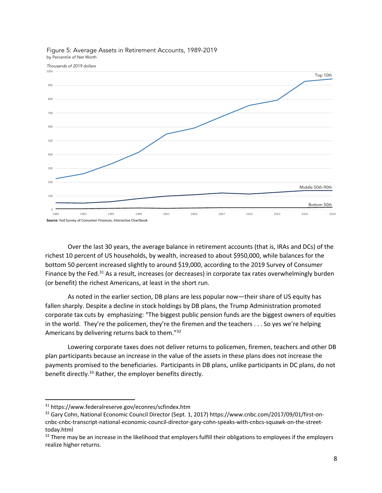

#### Figure 5: Average Assets in Retirement Accounts, 1989-2019 by Percentile of Net Worth

Over the last 30 years, the average balance in retirement accounts (that is, IRAs and DCs) of the richest 10 percent of US households, by wealth, increased to about \$950,000, while balances for the bottom 50 percent increased slightly to around \$19,000, according to the 2019 Survey of Consumer Finance by the Fed.<sup>31</sup> As a result, increases (or decreases) in corporate tax rates overwhelmingly burden (or benefit) the richest Americans, at least in the short run.

As noted in the earlier section, DB plans are less popular now—their share of US equity has fallen sharply. Despite a decline in stock holdings by DB plans, the Trump Administration promoted corporate tax cuts by emphasizing: "The biggest public pension funds are the biggest owners of equities in the world. They're the policemen, they're the firemen and the teachers . . . So yes we're helping Americans by delivering returns back to them."32

Lowering corporate taxes does not deliver returns to policemen, firemen, teachers and other DB plan participants because an increase in the value of the assets in these plans does not increase the payments promised to the beneficiaries. Participants in DB plans, unlike participants in DC plans, do not benefit directly.<sup>33</sup> Rather, the employer benefits directly.

<sup>31</sup> https://www.federalreserve.gov/econres/scfindex.htm

<sup>32</sup> Gary Cohn, National Economic Council Director (Sept. 1, 2017) https://www.cnbc.com/2017/09/01/first-oncnbc-cnbc-transcript-national-economic-council-director-gary-cohn-speaks-with-cnbcs-squawk-on-the-streettoday.html

<sup>&</sup>lt;sup>33</sup> There may be an increase in the likelihood that employers fulfill their obligations to employees if the employers realize higher returns.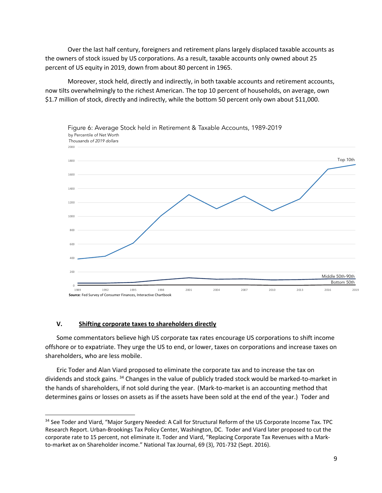Over the last half century, foreigners and retirement plans largely displaced taxable accounts as the owners of stock issued by US corporations. As a result, taxable accounts only owned about 25 percent of US equity in 2019, down from about 80 percent in 1965.

Moreover, stock held, directly and indirectly, in both taxable accounts and retirement accounts, now tilts overwhelmingly to the richest American. The top 10 percent of households, on average, own \$1.7 million of stock, directly and indirectly, while the bottom 50 percent only own about \$11,000.



#### **V. Shifting corporate taxes to shareholders directly**

Some commentators believe high US corporate tax rates encourage US corporations to shift income offshore or to expatriate. They urge the US to end, or lower, taxes on corporations and increase taxes on shareholders, who are less mobile.

Eric Toder and Alan Viard proposed to eliminate the corporate tax and to increase the tax on dividends and stock gains. <sup>34</sup> Changes in the value of publicly traded stock would be marked-to-market in the hands of shareholders, if not sold during the year. (Mark-to-market is an accounting method that determines gains or losses on assets as if the assets have been sold at the end of the year.) Toder and

<sup>&</sup>lt;sup>34</sup> See Toder and Viard, "Major Surgery Needed: A Call for Structural Reform of the US Corporate Income Tax. TPC Research Report. Urban-Brookings Tax Policy Center, Washington, DC. Toder and Viard later proposed to cut the corporate rate to 15 percent, not eliminate it. Toder and Viard, "Replacing Corporate Tax Revenues with a Markto-market ax on Shareholder income." National Tax Journal, 69 (3), 701-732 (Sept. 2016).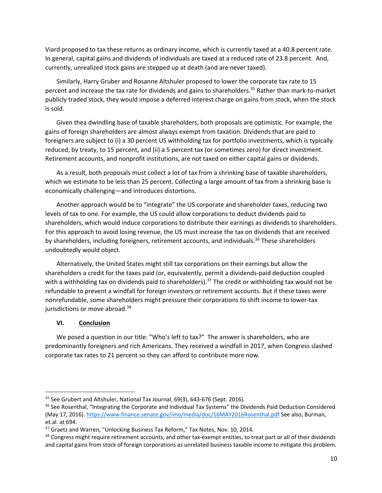Viard proposed to tax these returns as ordinary income, which is currently taxed at a 40.8 percent rate. In general, capital gains and dividends of individuals are taxed at a reduced rate of 23.8 percent. And, currently, unrealized stock gains are stepped up at death (and are never taxed).

Similarly, Harry Gruber and Rosanne Altshuler proposed to lower the corporate tax rate to 15 percent and increase the tax rate for dividends and gains to shareholders.<sup>35</sup> Rather than mark-to-market publicly traded stock, they would impose a deferred interest charge on gains from stock, when the stock is sold.

Given thea dwindling base of taxable shareholders, both proposals are optimistic. For example, the gains of foreign shareholders are almost always exempt from taxation. Dividends that are paid to foreigners are subject to (i) a 30 percent US withholding tax for portfolio investments, which is typically reduced, by treaty, to 15 percent, and (ii) a 5 percent tax (or sometimes zero) for direct investment. Retirement accounts, and nonprofit institutions, are not taxed on either capital gains or dividends.

As a result, both proposals must collect a lot of tax from a shrinking base of taxable shareholders, which we estimate to be less than 25 percent. Collecting a large amount of tax from a shrinking base Is economically challenging—and introduces distortions.

Another approach would be to "integrate" the US corporate and shareholder taxes, reducing two levels of tax to one. For example, the US could allow corporations to deduct dividends paid to shareholders, which would induce corporations to distribute their earnings as dividends to shareholders. For this approach to avoid losing revenue, the US must increase the tax on dividends that are received by shareholders, including foreigners, retirement accounts, and individuals.<sup>36</sup> These shareholders undoubtedly would object.

Alternatively, the United States might still tax corporations on their earnings but allow the shareholders a credit for the taxes paid (or, equivalently, permit a dividends-paid deduction coupled with a withholding tax on dividends paid to shareholders).<sup>37</sup> The credit or withholding tax would not be refundable to prevent a windfall for foreign investors or retirement accounts. But if these taxes were nonrefundable, some shareholders might pressure their corporations to shift income to lower-tax jurisdictions or move abroad.<sup>38</sup>

#### **VI. Conclusion**

We posed a question in our title: "Who's left to tax?" The answer is shareholders, who are predominantly foreigners and rich Americans. They received a windfall in 2017, when Congress slashed corporate tax rates to 21 percent so they can afford to contribute more now.

<sup>&</sup>lt;sup>35</sup> See Grubert and Altshuler, National Tax Journal, 69(3), 643-676 (Sept. 2016).

<sup>&</sup>lt;sup>36</sup> See Rosenthal, "Integrating the Corporate and Individual Tax Systems" the Dividends Paid Deduction Considered (May 17, 2016). https://www.finance.senate.gov/imo/media/doc/16MAY2016Rosenthal.pdf See also, Burman, et.al. at 694.

<sup>&</sup>lt;sup>37</sup> Graetz and Warren, "Unlocking Business Tax Reform," Tax Notes, Nov. 10, 2014.

<sup>&</sup>lt;sup>38</sup> Congress might require retirement accounts, and other tax-exempt entities, to treat part or all of their dividends and capital gains from stock of foreign corporations as unrelated business taxable income to mitigate this problem.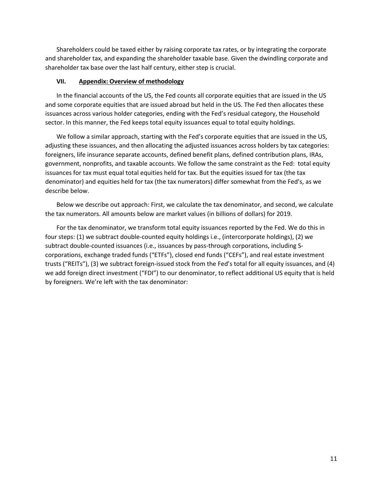Shareholders could be taxed either by raising corporate tax rates, or by integrating the corporate and shareholder tax, and expanding the shareholder taxable base. Given the dwindling corporate and shareholder tax base over the last half century, either step is crucial.

#### **VII. Appendix: Overview of methodology**

In the financial accounts of the US, the Fed counts all corporate equities that are issued in the US and some corporate equities that are issued abroad but held in the US. The Fed then allocates these issuances across various holder categories, ending with the Fed's residual category, the Household sector. In this manner, the Fed keeps total equity issuances equal to total equity holdings.

We follow a similar approach, starting with the Fed's corporate equities that are issued in the US, adjusting these issuances, and then allocating the adjusted issuances across holders by tax categories: foreigners, life insurance separate accounts, defined benefit plans, defined contribution plans, IRAs, government, nonprofits, and taxable accounts. We follow the same constraint as the Fed: total equity issuances for tax must equal total equities held for tax. But the equities issued for tax (the tax denominator) and equities held for tax (the tax numerators) differ somewhat from the Fed's, as we describe below.

Below we describe out approach: First, we calculate the tax denominator, and second, we calculate the tax numerators. All amounts below are market values (in billions of dollars) for 2019.

For the tax denominator, we transform total equity issuances reported by the Fed. We do this in four steps: (1) we subtract double-counted equity holdings i.e., (intercorporate holdings), (2) we subtract double-counted issuances (i.e., issuances by pass-through corporations, including Scorporations, exchange traded funds ("ETFs"), closed end funds ("CEFs"), and real estate investment trusts ("REITs"), (3) we subtract foreign-issued stock from the Fed's total for all equity issuances, and (4) we add foreign direct investment ("FDI") to our denominator, to reflect additional US equity that is held by foreigners. We're left with the tax denominator: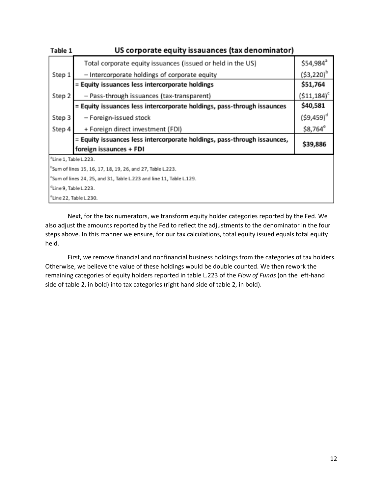| Table 1                                                                         | US corporate equity issauances (tax denominator)                         |                          |  |  |  |
|---------------------------------------------------------------------------------|--------------------------------------------------------------------------|--------------------------|--|--|--|
|                                                                                 | Total corporate equity issuances (issued or held in the US)              | \$54,984 <sup>ª</sup>    |  |  |  |
| Step 1                                                                          | - Intercorporate holdings of corporate equity                            | (\$3,220) <sup>b</sup>   |  |  |  |
|                                                                                 | = Equity issuances less intercorporate holdings                          | \$51,764                 |  |  |  |
| Step 2                                                                          | - Pass-through issuances (tax-transparent)                               | $($11,184)$ <sup>c</sup> |  |  |  |
|                                                                                 | = Equity issuances less intercorporate holdings, pass-through issaunces  | \$40,581                 |  |  |  |
| Step 3                                                                          | - Foreign-issued stock                                                   | $(59, 459)^d$            |  |  |  |
| Step 4                                                                          | + Foreign direct investment (FDI)                                        | \$8,764°                 |  |  |  |
|                                                                                 | = Equity issuances less intercorporate holdings, pass-through issaunces, | \$39,886                 |  |  |  |
|                                                                                 | foreign issaunces + FDI                                                  |                          |  |  |  |
| "Line 1, Table L.223.                                                           |                                                                          |                          |  |  |  |
| <sup>b</sup> Sum of lines 15, 16, 17, 18, 19, 26, and 27, Table L.223.          |                                                                          |                          |  |  |  |
| <sup>c</sup> Sum of lines 24, 25, and 31, Table L.223 and line 11, Table L.129. |                                                                          |                          |  |  |  |
| <sup>d</sup> Line 9, Table L.223.                                               |                                                                          |                          |  |  |  |
| "Line 22, Table L.230.                                                          |                                                                          |                          |  |  |  |

Next, for the tax numerators, we transform equity holder categories reported by the Fed. We also adjust the amounts reported by the Fed to reflect the adjustments to the denominator in the four steps above. In this manner we ensure, for our tax calculations, total equity issued equals total equity held.

First, we remove financial and nonfinancial business holdings from the categories of tax holders. Otherwise, we believe the value of these holdings would be double counted. We then rework the remaining categories of equity holders reported in table L.223 of the *Flow of Funds* (on the left-hand side of table 2, in bold) into tax categories (right hand side of table 2, in bold).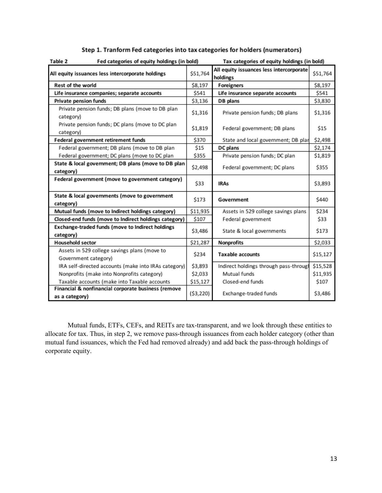| Table 2<br>Fed categories of equity holdings (in bold) |           | Tax categories of equity holdings (in bold) |          |
|--------------------------------------------------------|-----------|---------------------------------------------|----------|
|                                                        |           | All equity issuances less intercorporate    |          |
| All equity issuances less intercorporate holdings      | \$51,764  | holdings                                    | \$51,764 |
| <b>Rest of the world</b>                               | \$8,197   | <b>Foreigners</b>                           | \$8,197  |
| Life insurance companies; separate accounts            | \$541     | Life insurance separate accounts            | \$541    |
| Private pension funds                                  | \$3,136   | DB plans                                    | \$3,830  |
| Private pension funds; DB plans (move to DB plan       | \$1,316   | Private pension funds; DB plans             | \$1,316  |
| category)                                              |           |                                             |          |
| Private pension funds; DC plans (move to DC plan       | \$1,819   | Federal government; DB plans                | \$15     |
| category)                                              |           |                                             |          |
| Federal government retirement funds                    | \$370     | State and local government; DB plar         | \$2,498  |
| Federal government; DB plans (move to DB plan          | \$15      | DC plans                                    | \$2,174  |
| Federal government; DC plans (move to DC plan          | \$355     | Private pension funds; DC plan              | \$1,819  |
| State & local government; DB plans (move to DB plan    | \$2,498   | Federal government; DC plans                | \$355    |
| category)                                              |           |                                             |          |
| Federal government (move to government category)       | \$33      | <b>IRAs</b>                                 | \$3,893  |
|                                                        |           |                                             |          |
| State & local governments (move to government          | \$173     | Government                                  | \$440    |
| category)                                              |           |                                             |          |
| Mutual funds (move to Indirect holdings category)      | \$11,935  | Assets in 529 college savings plans         | \$234    |
| Closed-end funds (move to Indirect holdings category)  | \$107     | Federal government                          | \$33     |
| Exchange-traded funds (move to Indirect holdings       | \$3,486   | State & local governments                   | \$173    |
| category)                                              |           |                                             |          |
| <b>Household sector</b>                                | \$21,287  | Nonprofits                                  | \$2,033  |
| Assets in 529 college savings plans (move to           | \$234     | <b>Taxable accounts</b>                     | \$15,127 |
| Government category)                                   |           |                                             |          |
| IRA self-directed accounts (make into IRAs category)   | \$3,893   | Indirect holdings through pass-through      | \$15,528 |
| Nonprofits (make into Nonprofits category)             | \$2,033   | Mutual funds                                | \$11,935 |
| Taxable accounts (make into Taxable accounts           | \$15,127  | Closed-end funds                            | \$107    |
| Financial & nonfinancial corporate business (remove    |           |                                             | \$3,486  |
| as a category)                                         | (53, 220) | Exchange-traded funds                       |          |

# Step 1. Tranform Fed categories into tax categories for holders (numerators)

Mutual funds, ETFs, CEFs, and REITs are tax-transparent, and we look through these entities to allocate for tax. Thus, in step 2, we remove pass-through issuances from each holder category (other than mutual fund issuances, which the Fed had removed already) and add back the pass-through holdings of corporate equity.